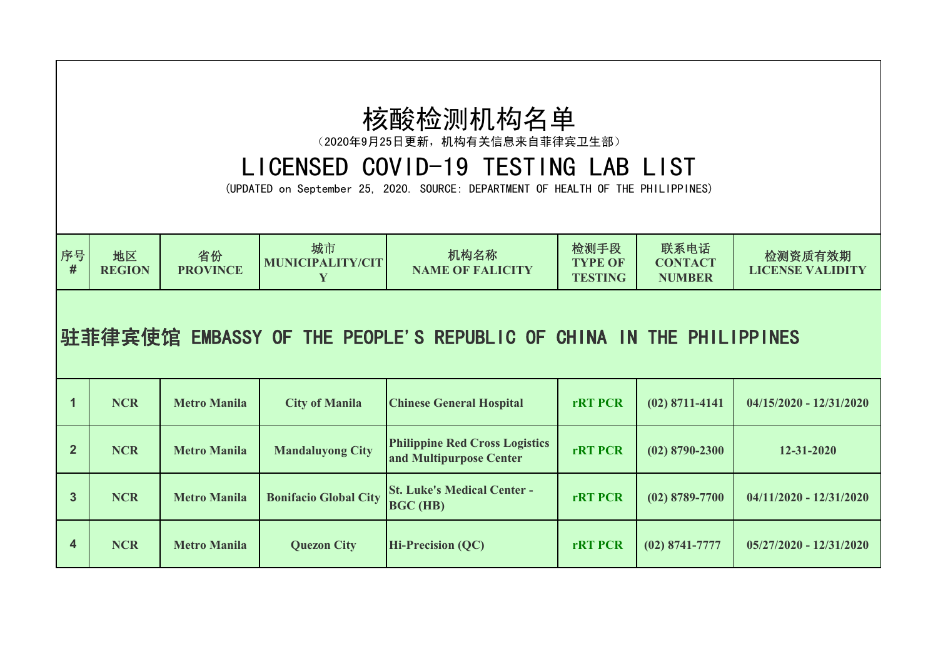## 核酸检测机构名单

(2020年9月25日更新,机构有关信息来自菲律宾卫生部)

## LICENSED COVID-19 TESTING LAB LIST

(UPDATED on September 25, 2020. SOURCE: DEPARTMENT OF HEALTH OF THE PHILIPPINES)

| 序号<br>地区<br><b>REGION</b> | 省份<br><b>PROVINCE</b> | 城市<br>MUNICIPALITY/CIT | 机构名称<br><b>NAME OF FALICITY</b> | 检测手段<br><b>TYPE OF</b><br><b>TESTING</b> | 联系电话<br><b>CONTACT</b><br><b>NUMBER</b> | 检测资质有效期<br><b>LICENSE VALIDITY</b> |  |
|---------------------------|-----------------------|------------------------|---------------------------------|------------------------------------------|-----------------------------------------|------------------------------------|--|
|---------------------------|-----------------------|------------------------|---------------------------------|------------------------------------------|-----------------------------------------|------------------------------------|--|

## 驻菲律宾使馆 EMBASSY OF THE PEOPLE'S REPUBLIC OF CHINA IN THE PHILIPPINES

|              | <b>NCR</b> | <b>Metro Manila</b> | <b>City of Manila</b>        | <b>Chinese General Hospital</b>                                  | <b>rRT PCR</b> | $(02)$ 8711-4141 | $04/15/2020 - 12/31/2020$ |
|--------------|------------|---------------------|------------------------------|------------------------------------------------------------------|----------------|------------------|---------------------------|
| $\mathbf{2}$ | <b>NCR</b> | <b>Metro Manila</b> | <b>Mandaluyong City</b>      | <b>Philippine Red Cross Logistics</b><br>and Multipurpose Center | <b>rRT PCR</b> | $(02)$ 8790-2300 | $12 - 31 - 2020$          |
| 3            | <b>NCR</b> | <b>Metro Manila</b> | <b>Bonifacio Global City</b> | <b>St. Luke's Medical Center -</b><br><b>BGC (HB)</b>            | <b>rRT PCR</b> | $(02)$ 8789-7700 | $04/11/2020 - 12/31/2020$ |
| 4            | <b>NCR</b> | <b>Metro Manila</b> | <b>Quezon City</b>           | <b>Hi-Precision (QC)</b>                                         | <b>rRT PCR</b> | $(02)$ 8741-7777 | $05/27/2020 - 12/31/2020$ |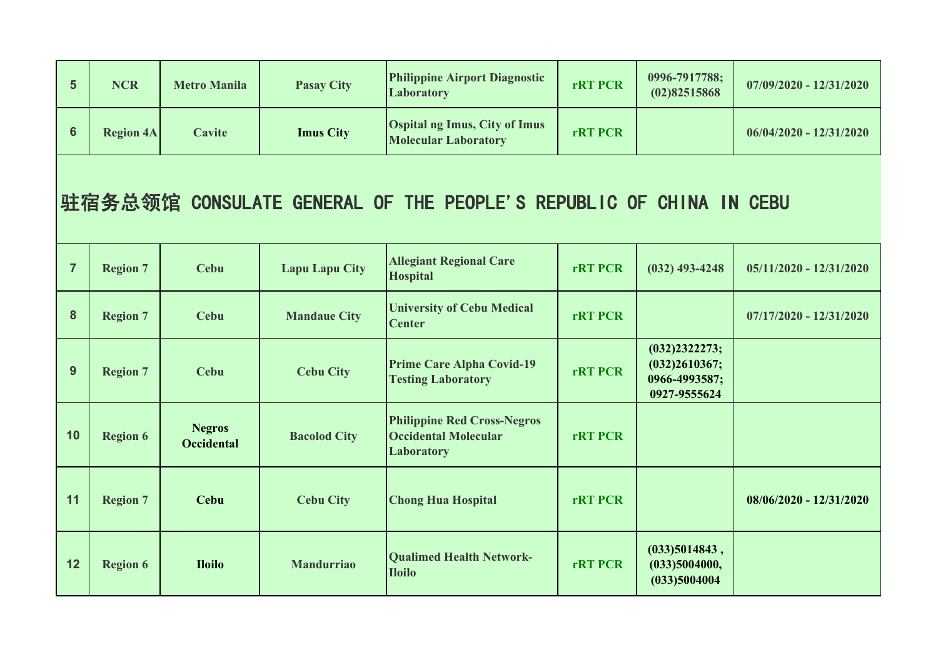| $5\phantom{1}$ | <b>NCR</b>       | <b>Metro Manila</b>                | <b>Pasay City</b>     | <b>Philippine Airport Diagnostic</b><br>Laboratory                                     | <b>rRT PCR</b> | 0996-7917788;<br>(02)82515868                                   | $07/09/2020 - 12/31/2020$ |
|----------------|------------------|------------------------------------|-----------------------|----------------------------------------------------------------------------------------|----------------|-----------------------------------------------------------------|---------------------------|
| $6\phantom{a}$ | <b>Region 4A</b> | <b>Cavite</b>                      | <b>Imus City</b>      | <b>Ospital ng Imus, City of Imus</b><br><b>Molecular Laboratory</b>                    | <b>rRT PCR</b> |                                                                 | $06/04/2020 - 12/31/2020$ |
|                |                  |                                    |                       | 驻宿务总领馆 CONSULATE GENERAL OF THE PEOPLE'S REPUBLIC OF CHINA IN CEBU                     |                |                                                                 |                           |
| $\overline{7}$ | <b>Region 7</b>  | <b>Cebu</b>                        | <b>Lapu Lapu City</b> | <b>Allegiant Regional Care</b><br><b>Hospital</b>                                      | <b>rRT PCR</b> | $(032)$ 493-4248                                                | $05/11/2020 - 12/31/2020$ |
| 8              | <b>Region 7</b>  | <b>Cebu</b>                        | <b>Mandaue City</b>   | <b>University of Cebu Medical</b><br><b>Center</b>                                     | <b>rRT PCR</b> |                                                                 | $07/17/2020 - 12/31/2020$ |
| 9              | <b>Region 7</b>  | <b>Cebu</b>                        | <b>Cebu City</b>      | <b>Prime Care Alpha Covid-19</b><br><b>Testing Laboratory</b>                          | <b>rRT PCR</b> | (032)2322273;<br>(032)2610367;<br>0966-4993587;<br>0927-9555624 |                           |
| 10             | <b>Region 6</b>  | <b>Negros</b><br><b>Occidental</b> | <b>Bacolod City</b>   | <b>Philippine Red Cross-Negros</b><br><b>Occidental Molecular</b><br><b>Laboratory</b> | <b>rRT PCR</b> |                                                                 |                           |
| 11             | <b>Region 7</b>  | <b>Cebu</b>                        | <b>Cebu City</b>      | <b>Chong Hua Hospital</b>                                                              | <b>rRT PCR</b> |                                                                 | $08/06/2020 - 12/31/2020$ |
| 12             | <b>Region 6</b>  | <b>Iloilo</b>                      | <b>Mandurriao</b>     | <b>Qualimed Health Network-</b><br><b>Iloilo</b>                                       | <b>rRT PCR</b> | (033)5014843,<br>(033)5004000,<br>(033)5004004                  |                           |